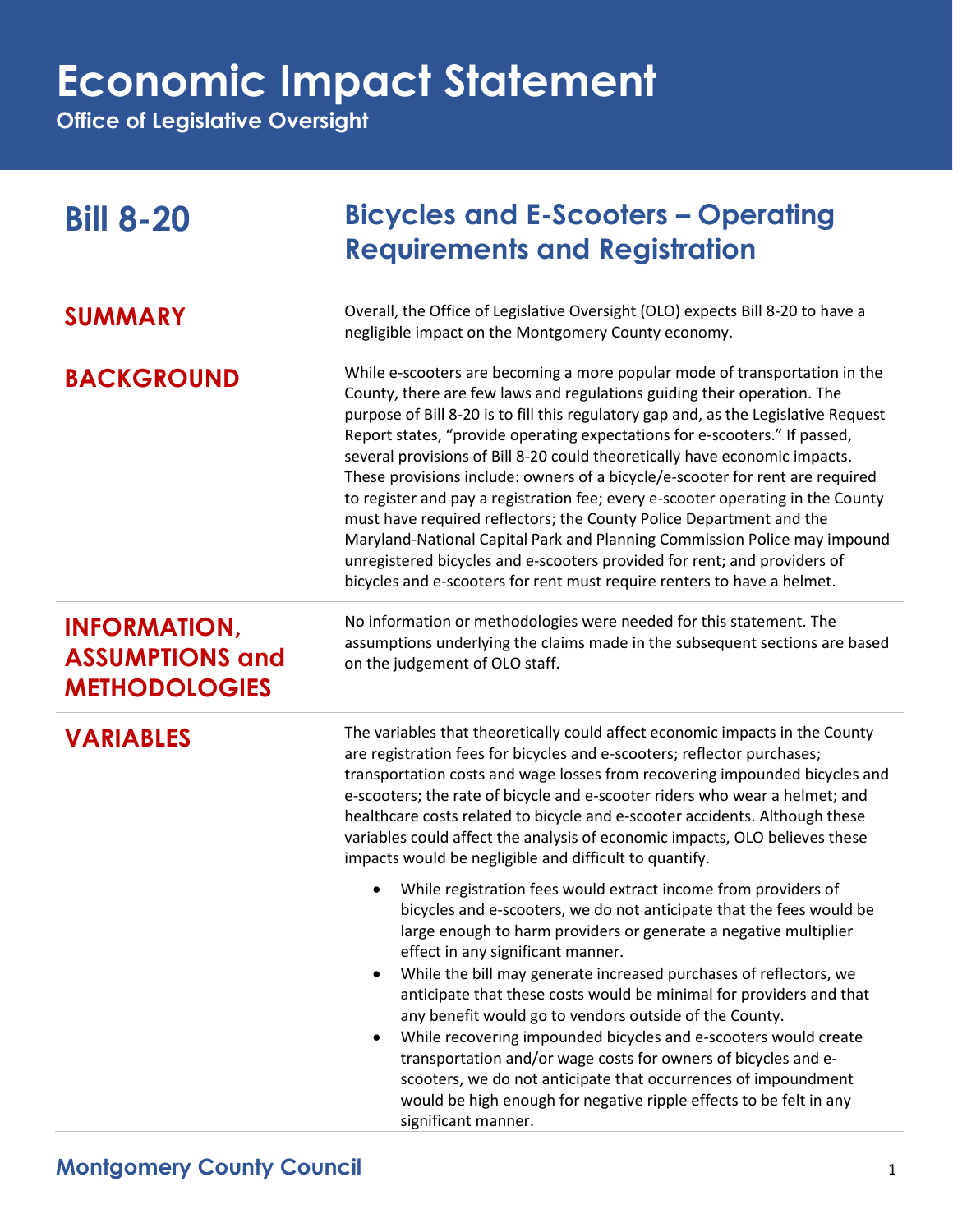# **Economic Impact Statement**

**Office of Legislative Oversight**

| <b>Bill 8-20</b>                                                      | <b>Bicycles and E-Scooters – Operating</b><br><b>Requirements and Registration</b>                                                                                                                                                                                                                                                                                                                                                                                                                                                                                                                                                                                                                                                                                                                                                                                                      |
|-----------------------------------------------------------------------|-----------------------------------------------------------------------------------------------------------------------------------------------------------------------------------------------------------------------------------------------------------------------------------------------------------------------------------------------------------------------------------------------------------------------------------------------------------------------------------------------------------------------------------------------------------------------------------------------------------------------------------------------------------------------------------------------------------------------------------------------------------------------------------------------------------------------------------------------------------------------------------------|
| <b>SUMMARY</b>                                                        | Overall, the Office of Legislative Oversight (OLO) expects Bill 8-20 to have a<br>negligible impact on the Montgomery County economy.                                                                                                                                                                                                                                                                                                                                                                                                                                                                                                                                                                                                                                                                                                                                                   |
| <b>BACKGROUND</b>                                                     | While e-scooters are becoming a more popular mode of transportation in the<br>County, there are few laws and regulations guiding their operation. The<br>purpose of Bill 8-20 is to fill this regulatory gap and, as the Legislative Request<br>Report states, "provide operating expectations for e-scooters." If passed,<br>several provisions of Bill 8-20 could theoretically have economic impacts.<br>These provisions include: owners of a bicycle/e-scooter for rent are required<br>to register and pay a registration fee; every e-scooter operating in the County<br>must have required reflectors; the County Police Department and the<br>Maryland-National Capital Park and Planning Commission Police may impound<br>unregistered bicycles and e-scooters provided for rent; and providers of<br>bicycles and e-scooters for rent must require renters to have a helmet. |
| <b>INFORMATION,</b><br><b>ASSUMPTIONS and</b><br><b>METHODOLOGIES</b> | No information or methodologies were needed for this statement. The<br>assumptions underlying the claims made in the subsequent sections are based<br>on the judgement of OLO staff.                                                                                                                                                                                                                                                                                                                                                                                                                                                                                                                                                                                                                                                                                                    |
| <b>VARIABLES</b>                                                      | The variables that theoretically could affect economic impacts in the County<br>are registration fees for bicycles and e-scooters; reflector purchases;<br>transportation costs and wage losses from recovering impounded bicycles and<br>e-scooters; the rate of bicycle and e-scooter riders who wear a helmet; and<br>healthcare costs related to bicycle and e-scooter accidents. Although these<br>variables could affect the analysis of economic impacts, OLO believes these<br>impacts would be negligible and difficult to quantify.                                                                                                                                                                                                                                                                                                                                           |
|                                                                       | While registration fees would extract income from providers of<br>bicycles and e-scooters, we do not anticipate that the fees would be<br>large enough to harm providers or generate a negative multiplier<br>effect in any significant manner.<br>While the bill may generate increased purchases of reflectors, we<br>$\bullet$<br>anticipate that these costs would be minimal for providers and that<br>any benefit would go to vendors outside of the County.<br>While recovering impounded bicycles and e-scooters would create<br>$\bullet$<br>transportation and/or wage costs for owners of bicycles and e-<br>scooters, we do not anticipate that occurrences of impoundment<br>would be high enough for negative ripple effects to be felt in any<br>significant manner.                                                                                                     |

#### **Montgomery County Council** 1